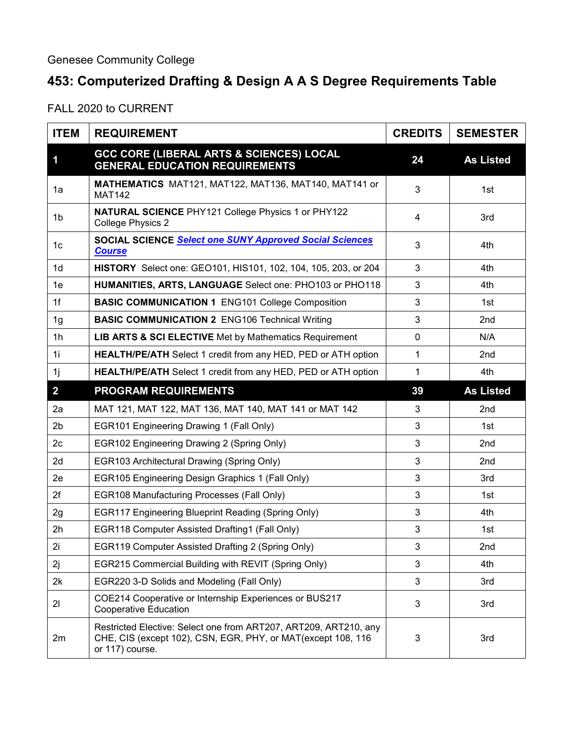## **453: Computerized Drafting & Design A A S Degree Requirements Table**

FALL 2020 to CURRENT

| <b>ITEM</b>    | <b>REQUIREMENT</b>                                                                                                                                  | <b>CREDITS</b> | <b>SEMESTER</b>  |
|----------------|-----------------------------------------------------------------------------------------------------------------------------------------------------|----------------|------------------|
| 1              | <b>GCC CORE (LIBERAL ARTS &amp; SCIENCES) LOCAL</b><br><b>GENERAL EDUCATION REQUIREMENTS</b>                                                        | 24             | <b>As Listed</b> |
| 1a             | MATHEMATICS MAT121, MAT122, MAT136, MAT140, MAT141 or<br><b>MAT142</b>                                                                              | 3              | 1st              |
| 1b             | <b>NATURAL SCIENCE PHY121 College Physics 1 or PHY122</b><br><b>College Physics 2</b>                                                               | 4              | 3rd              |
| 1c             | <b>SOCIAL SCIENCE Select one SUNY Approved Social Sciences</b><br><b>Course</b>                                                                     | 3              | 4th              |
| 1 <sub>d</sub> | HISTORY Select one: GEO101, HIS101, 102, 104, 105, 203, or 204                                                                                      | 3              | 4th              |
| 1e             | HUMANITIES, ARTS, LANGUAGE Select one: PHO103 or PHO118                                                                                             | 3              | 4th              |
| 1f             | <b>BASIC COMMUNICATION 1 ENG101 College Composition</b>                                                                                             | 3              | 1st              |
| 1 <sub>g</sub> | <b>BASIC COMMUNICATION 2 ENG106 Technical Writing</b>                                                                                               | 3              | 2 <sub>nd</sub>  |
| 1 <sub>h</sub> | <b>LIB ARTS &amp; SCI ELECTIVE</b> Met by Mathematics Requirement                                                                                   | $\mathbf 0$    | N/A              |
| 1i             | <b>HEALTH/PE/ATH</b> Select 1 credit from any HED, PED or ATH option                                                                                | 1              | 2 <sub>nd</sub>  |
| 1j             | HEALTH/PE/ATH Select 1 credit from any HED, PED or ATH option                                                                                       | $\mathbf 1$    | 4th              |
| $\overline{2}$ | <b>PROGRAM REQUIREMENTS</b>                                                                                                                         | 39             | <b>As Listed</b> |
| 2a             | MAT 121, MAT 122, MAT 136, MAT 140, MAT 141 or MAT 142                                                                                              | 3              | 2nd              |
| 2 <sub>b</sub> | EGR101 Engineering Drawing 1 (Fall Only)                                                                                                            | 3              | 1st              |
| 2c             | EGR102 Engineering Drawing 2 (Spring Only)                                                                                                          | 3              | 2 <sub>nd</sub>  |
| 2d             | EGR103 Architectural Drawing (Spring Only)                                                                                                          | 3              | 2nd              |
| 2e             | EGR105 Engineering Design Graphics 1 (Fall Only)                                                                                                    | 3              | 3rd              |
| 2f             | <b>EGR108 Manufacturing Processes (Fall Only)</b>                                                                                                   | 3              | 1st              |
| 2g             | EGR117 Engineering Blueprint Reading (Spring Only)                                                                                                  | 3              | 4th              |
| 2h             | EGR118 Computer Assisted Drafting1 (Fall Only)                                                                                                      | 3              | 1st              |
| 2i             | EGR119 Computer Assisted Drafting 2 (Spring Only)                                                                                                   | 3              | 2nd              |
| 2j             | EGR215 Commercial Building with REVIT (Spring Only)                                                                                                 | 3              | 4th              |
| 2k             | EGR220 3-D Solids and Modeling (Fall Only)                                                                                                          | 3              | 3rd              |
| 21             | COE214 Cooperative or Internship Experiences or BUS217<br>Cooperative Education                                                                     | 3              | 3rd              |
| 2m             | Restricted Elective: Select one from ART207, ART209, ART210, any<br>CHE, CIS (except 102), CSN, EGR, PHY, or MAT(except 108, 116<br>or 117) course. | 3              | 3rd              |